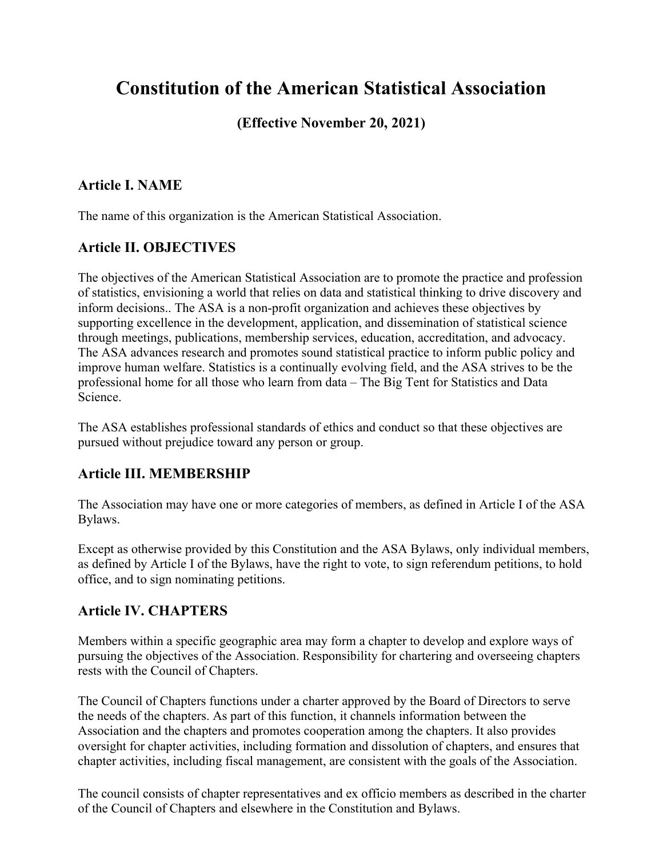# **Constitution of the American Statistical Association**

# **(Effective November 20, 2021)**

### **Article I. NAME**

The name of this organization is the American Statistical Association.

# **Article II. OBJECTIVES**

The objectives of the American Statistical Association are to promote the practice and profession of statistics, envisioning a world that relies on data and statistical thinking to drive discovery and inform decisions.. The ASA is a non-profit organization and achieves these objectives by supporting excellence in the development, application, and dissemination of statistical science through meetings, publications, membership services, education, accreditation, and advocacy. The ASA advances research and promotes sound statistical practice to inform public policy and improve human welfare. Statistics is a continually evolving field, and the ASA strives to be the professional home for all those who learn from data – The Big Tent for Statistics and Data Science.

The ASA establishes professional standards of ethics and conduct so that these objectives are pursued without prejudice toward any person or group.

# **Article III. MEMBERSHIP**

The Association may have one or more categories of members, as defined in Article I of the ASA Bylaws.

Except as otherwise provided by this Constitution and the ASA Bylaws, only individual members, as defined by Article I of the Bylaws, have the right to vote, to sign referendum petitions, to hold office, and to sign nominating petitions.

# **Article IV. CHAPTERS**

Members within a specific geographic area may form a chapter to develop and explore ways of pursuing the objectives of the Association. Responsibility for chartering and overseeing chapters rests with the Council of Chapters.

The Council of Chapters functions under a charter approved by the Board of Directors to serve the needs of the chapters. As part of this function, it channels information between the Association and the chapters and promotes cooperation among the chapters. It also provides oversight for chapter activities, including formation and dissolution of chapters, and ensures that chapter activities, including fiscal management, are consistent with the goals of the Association.

The council consists of chapter representatives and ex officio members as described in the charter of the Council of Chapters and elsewhere in the Constitution and Bylaws.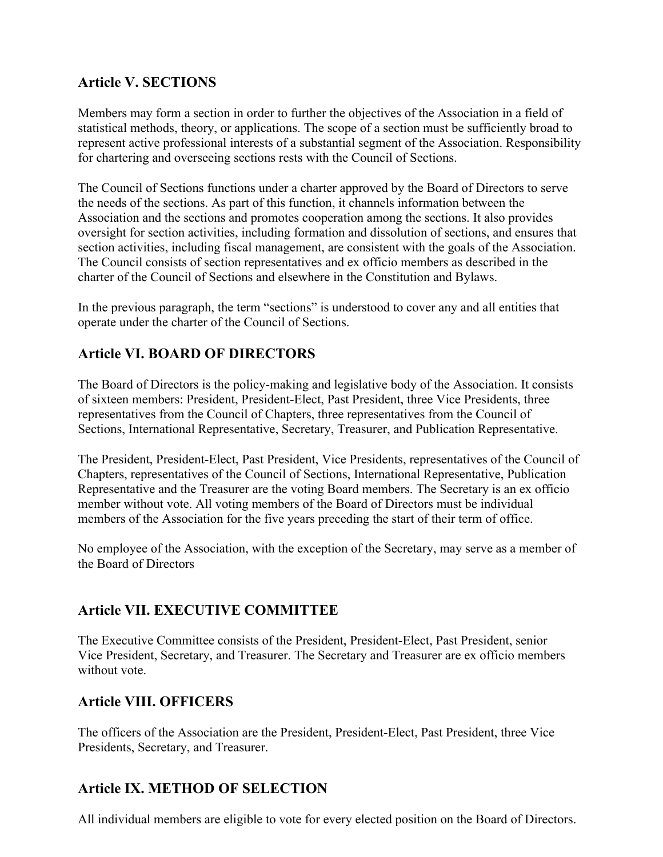## **Article V. SECTIONS**

Members may form a section in order to further the objectives of the Association in a field of statistical methods, theory, or applications. The scope of a section must be sufficiently broad to represent active professional interests of a substantial segment of the Association. Responsibility for chartering and overseeing sections rests with the Council of Sections.

The Council of Sections functions under a charter approved by the Board of Directors to serve the needs of the sections. As part of this function, it channels information between the Association and the sections and promotes cooperation among the sections. It also provides oversight for section activities, including formation and dissolution of sections, and ensures that section activities, including fiscal management, are consistent with the goals of the Association. The Council consists of section representatives and ex officio members as described in the charter of the Council of Sections and elsewhere in the Constitution and Bylaws.

In the previous paragraph, the term "sections" is understood to cover any and all entities that operate under the charter of the Council of Sections.

# **Article VI. BOARD OF DIRECTORS**

The Board of Directors is the policy-making and legislative body of the Association. It consists of sixteen members: President, President-Elect, Past President, three Vice Presidents, three representatives from the Council of Chapters, three representatives from the Council of Sections, International Representative, Secretary, Treasurer, and Publication Representative.

The President, President-Elect, Past President, Vice Presidents, representatives of the Council of Chapters, representatives of the Council of Sections, International Representative, Publication Representative and the Treasurer are the voting Board members. The Secretary is an ex officio member without vote. All voting members of the Board of Directors must be individual members of the Association for the five years preceding the start of their term of office.

No employee of the Association, with the exception of the Secretary, may serve as a member of the Board of Directors

#### **Article VII. EXECUTIVE COMMITTEE**

The Executive Committee consists of the President, President-Elect, Past President, senior Vice President, Secretary, and Treasurer. The Secretary and Treasurer are ex officio members without vote.

### **Article VIII. OFFICERS**

The officers of the Association are the President, President-Elect, Past President, three Vice Presidents, Secretary, and Treasurer.

### **Article IX. METHOD OF SELECTION**

All individual members are eligible to vote for every elected position on the Board of Directors.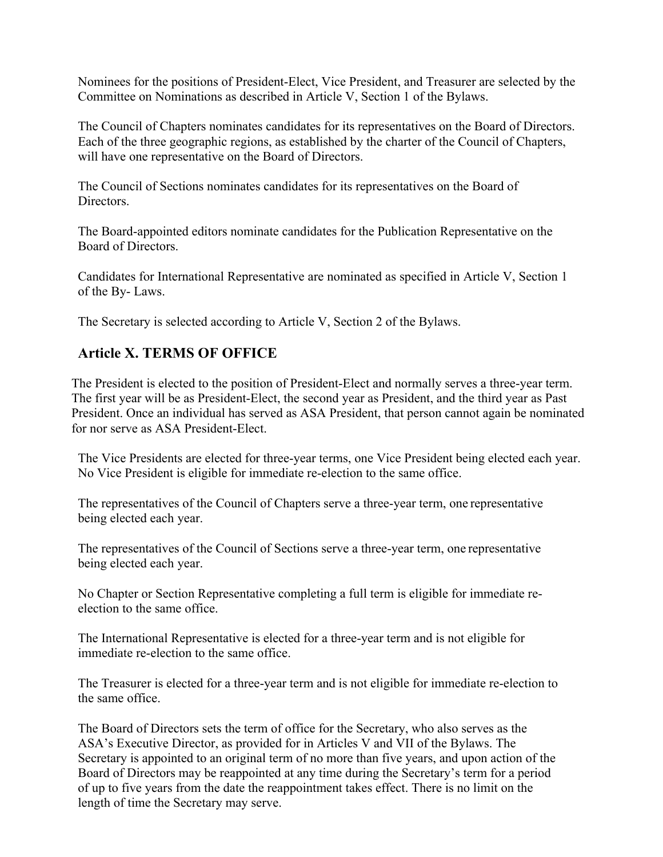Nominees for the positions of President-Elect, Vice President, and Treasurer are selected by the Committee on Nominations as described in Article V, Section 1 of the Bylaws.

The Council of Chapters nominates candidates for its representatives on the Board of Directors. Each of the three geographic regions, as established by the charter of the Council of Chapters, will have one representative on the Board of Directors.

The Council of Sections nominates candidates for its representatives on the Board of Directors.

The Board-appointed editors nominate candidates for the Publication Representative on the Board of Directors.

Candidates for International Representative are nominated as specified in Article V, Section 1 of the By- Laws.

The Secretary is selected according to Article V, Section 2 of the Bylaws.

# **Article X. TERMS OF OFFICE**

The President is elected to the position of President-Elect and normally serves a three-year term. The first year will be as President-Elect, the second year as President, and the third year as Past President. Once an individual has served as ASA President, that person cannot again be nominated for nor serve as ASA President-Elect.

The Vice Presidents are elected for three-year terms, one Vice President being elected each year. No Vice President is eligible for immediate re-election to the same office.

The representatives of the Council of Chapters serve a three-year term, one representative being elected each year.

The representatives of the Council of Sections serve a three-year term, one representative being elected each year.

No Chapter or Section Representative completing a full term is eligible for immediate reelection to the same office.

The International Representative is elected for a three-year term and is not eligible for immediate re-election to the same office.

The Treasurer is elected for a three-year term and is not eligible for immediate re-election to the same office.

The Board of Directors sets the term of office for the Secretary, who also serves as the ASA's Executive Director, as provided for in Articles V and VII of the Bylaws. The Secretary is appointed to an original term of no more than five years, and upon action of the Board of Directors may be reappointed at any time during the Secretary's term for a period of up to five years from the date the reappointment takes effect. There is no limit on the length of time the Secretary may serve.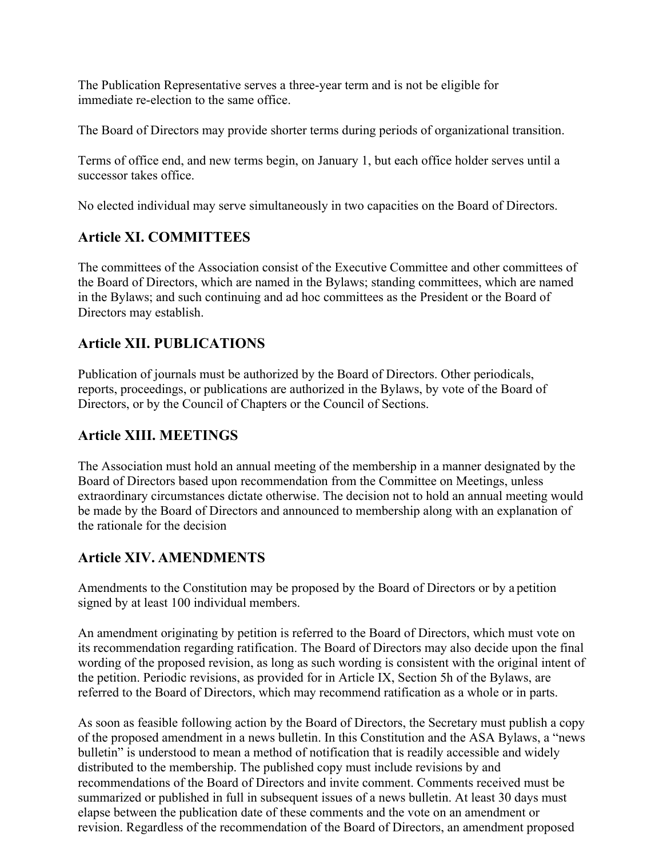The Publication Representative serves a three-year term and is not be eligible for immediate re-election to the same office.

The Board of Directors may provide shorter terms during periods of organizational transition.

Terms of office end, and new terms begin, on January 1, but each office holder serves until a successor takes office.

No elected individual may serve simultaneously in two capacities on the Board of Directors.

# **Article XI. COMMITTEES**

The committees of the Association consist of the Executive Committee and other committees of the Board of Directors, which are named in the Bylaws; standing committees, which are named in the Bylaws; and such continuing and ad hoc committees as the President or the Board of Directors may establish.

# **Article XII. PUBLICATIONS**

Publication of journals must be authorized by the Board of Directors. Other periodicals, reports, proceedings, or publications are authorized in the Bylaws, by vote of the Board of Directors, or by the Council of Chapters or the Council of Sections.

### **Article XIII. MEETINGS**

The Association must hold an annual meeting of the membership in a manner designated by the Board of Directors based upon recommendation from the Committee on Meetings, unless extraordinary circumstances dictate otherwise. The decision not to hold an annual meeting would be made by the Board of Directors and announced to membership along with an explanation of the rationale for the decision

### **Article XIV. AMENDMENTS**

Amendments to the Constitution may be proposed by the Board of Directors or by a petition signed by at least 100 individual members.

An amendment originating by petition is referred to the Board of Directors, which must vote on its recommendation regarding ratification. The Board of Directors may also decide upon the final wording of the proposed revision, as long as such wording is consistent with the original intent of the petition. Periodic revisions, as provided for in Article IX, Section 5h of the Bylaws, are referred to the Board of Directors, which may recommend ratification as a whole or in parts.

As soon as feasible following action by the Board of Directors, the Secretary must publish a copy of the proposed amendment in a news bulletin. In this Constitution and the ASA Bylaws, a "news bulletin" is understood to mean a method of notification that is readily accessible and widely distributed to the membership. The published copy must include revisions by and recommendations of the Board of Directors and invite comment. Comments received must be summarized or published in full in subsequent issues of a news bulletin. At least 30 days must elapse between the publication date of these comments and the vote on an amendment or revision. Regardless of the recommendation of the Board of Directors, an amendment proposed